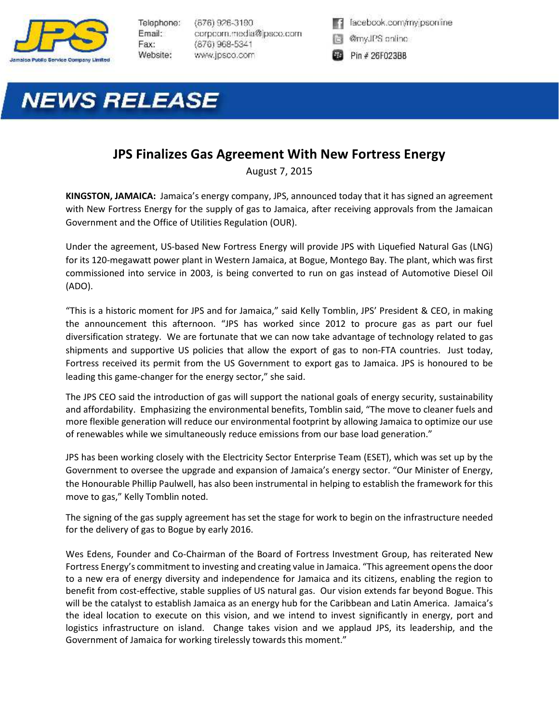

Telephone: Email: Fax: Website:

 $(876)$  926-3190 corpoom.media@jpsco.com (876) 968-5341 www.jpsco.com



- @myJPS online
- Pin # 26F023BB

## **NEWS RELEASE**

## **JPS Finalizes Gas Agreement With New Fortress Energy**

August 7, 2015

**KINGSTON, JAMAICA:** Jamaica's energy company, JPS, announced today that it has signed an agreement with New Fortress Energy for the supply of gas to Jamaica, after receiving approvals from the Jamaican Government and the Office of Utilities Regulation (OUR).

Under the agreement, US-based New Fortress Energy will provide JPS with Liquefied Natural Gas (LNG) for its 120-megawatt power plant in Western Jamaica, at Bogue, Montego Bay. The plant, which was first commissioned into service in 2003, is being converted to run on gas instead of Automotive Diesel Oil (ADO).

"This is a historic moment for JPS and for Jamaica," said Kelly Tomblin, JPS' President & CEO, in making the announcement this afternoon. "JPS has worked since 2012 to procure gas as part our fuel diversification strategy. We are fortunate that we can now take advantage of technology related to gas shipments and supportive US policies that allow the export of gas to non-FTA countries. Just today, Fortress received its permit from the US Government to export gas to Jamaica. JPS is honoured to be leading this game-changer for the energy sector," she said.

The JPS CEO said the introduction of gas will support the national goals of energy security, sustainability and affordability. Emphasizing the environmental benefits, Tomblin said, "The move to cleaner fuels and more flexible generation will reduce our environmental footprint by allowing Jamaica to optimize our use of renewables while we simultaneously reduce emissions from our base load generation."

JPS has been working closely with the Electricity Sector Enterprise Team (ESET), which was set up by the Government to oversee the upgrade and expansion of Jamaica's energy sector. "Our Minister of Energy, the Honourable Phillip Paulwell, has also been instrumental in helping to establish the framework for this move to gas," Kelly Tomblin noted.

The signing of the gas supply agreement has set the stage for work to begin on the infrastructure needed for the delivery of gas to Bogue by early 2016.

Wes Edens, Founder and Co-Chairman of the Board of Fortress Investment Group, has reiterated New Fortress Energy's commitment to investing and creating value in Jamaica. "This agreement opens the door to a new era of energy diversity and independence for Jamaica and its citizens, enabling the region to benefit from cost-effective, stable supplies of US natural gas. Our vision extends far beyond Bogue. This will be the catalyst to establish Jamaica as an energy hub for the Caribbean and Latin America. Jamaica's the ideal location to execute on this vision, and we intend to invest significantly in energy, port and logistics infrastructure on island. Change takes vision and we applaud JPS, its leadership, and the Government of Jamaica for working tirelessly towards this moment."